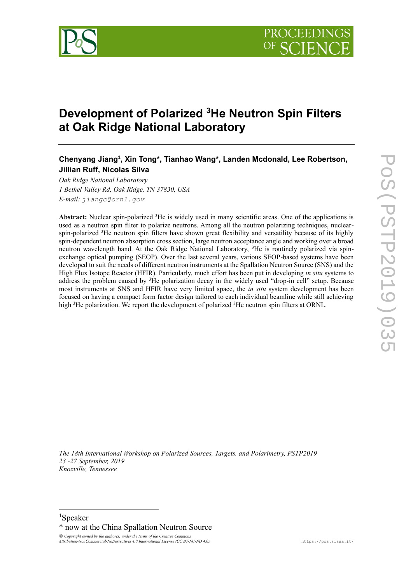

# **Development of Polarized <sup>3</sup>He Neutron Spin Filters at Oak Ridge National Laboratory**

## **Chenyang Jiang<sup>1</sup> , Xin Tong\*, Tianhao Wang\*, Landen Mcdonald, Lee Robertson, Jillian Ruff, Nicolas Silva**

*Oak Ridge National Laboratory 1 Bethel Valley Rd, Oak Ridge, TN 37830, USA E-mail: jiangc@ornl.gov*

**Abstract:** Nuclear spin-polarized <sup>3</sup>He is widely used in many scientific areas. One of the applications is used as a neutron spin filter to polarize neutrons. Among all the neutron polarizing techniques, nuclearspin-polarized <sup>3</sup>He neutron spin filters have shown great flexibility and versatility because of its highly spin-dependent neutron absorption cross section, large neutron acceptance angle and working over a broad neutron wavelength band. At the Oak Ridge National Laboratory, <sup>3</sup>He is routinely polarized via spinexchange optical pumping (SEOP). Over the last several years, various SEOP-based systems have been developed to suit the needs of different neutron instruments at the Spallation Neutron Source (SNS) and the High Flux Isotope Reactor (HFIR). Particularly, much effort has been put in developing *in situ* systems to address the problem caused by <sup>3</sup>He polarization decay in the widely used "drop-in cell" setup. Because most instruments at SNS and HFIR have very limited space, the *in situ* system development has been focused on having a compact form factor design tailored to each individual beamline while still achieving high  ${}^{3}$ He polarization. We report the development of polarized  ${}^{3}$ He neutron spin filters at ORNL.

**POS(PSTP2019)035** PoS(PSTP2019)035

*The 18th International Workshop on Polarized Sources, Targets, and Polarimetry, PSTP2019 23 -27 September, 2019 Knoxville, Tennessee*

© *Copyright owned by the author(s) under the terms of the Creative Commons*<br>Attribution-NonCommercial-NoDerivatives 4.0 International License (CC BY-NC-ND 4.0).

<sup>1</sup>Speaker

<sup>\*</sup> now at the China Spallation Neutron Source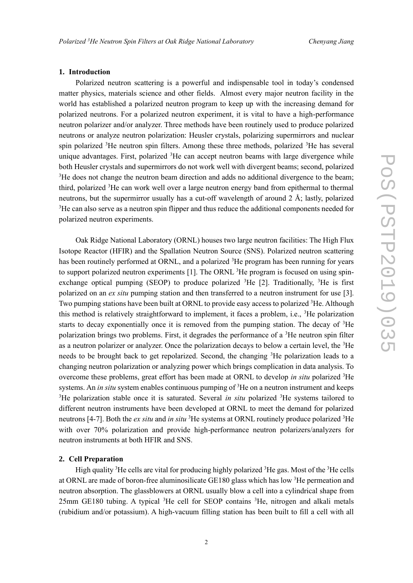#### **1. Introduction**

Polarized neutron scattering is a powerful and indispensable tool in today's condensed matter physics, materials science and other fields. Almost every major neutron facility in the world has established a polarized neutron program to keep up with the increasing demand for polarized neutrons. For a polarized neutron experiment, it is vital to have a high-performance neutron polarizer and/or analyzer. Three methods have been routinely used to produce polarized neutrons or analyze neutron polarization: Heusler crystals, polarizing supermirrors and nuclear spin polarized  ${}^{3}$ He neutron spin filters. Among these three methods, polarized  ${}^{3}$ He has several unique advantages. First, polarized <sup>3</sup>He can accept neutron beams with large divergence while both Heusler crystals and supermirrors do not work well with divergent beams; second, polarized <sup>3</sup>He does not change the neutron beam direction and adds no additional divergence to the beam; third, polarized <sup>3</sup>He can work well over a large neutron energy band from epithermal to thermal neutrons, but the supermirror usually has a cut-off wavelength of around 2 Å; lastly, polarized <sup>3</sup>He can also serve as a neutron spin flipper and thus reduce the additional components needed for polarized neutron experiments.

Oak Ridge National Laboratory (ORNL) houses two large neutron facilities: The High Flux Isotope Reactor (HFIR) and the Spallation Neutron Source (SNS). Polarized neutron scattering has been routinely performed at ORNL, and a polarized <sup>3</sup>He program has been running for years to support polarized neutron experiments [1]. The ORNL <sup>3</sup>He program is focused on using spinexchange optical pumping (SEOP) to produce polarized  ${}^{3}$ He [2]. Traditionally,  ${}^{3}$ He is first polarized on an *ex situ* pumping station and then transferred to a neutron instrument for use [3]. Two pumping stations have been built at ORNL to provide easy access to polarized <sup>3</sup>He. Although this method is relatively straightforward to implement, it faces a problem, i.e.,  ${}^{3}$ He polarization starts to decay exponentially once it is removed from the pumping station. The decay of  ${}^{3}$ He polarization brings two problems. First, it degrades the performance of a  ${}^{3}$ He neutron spin filter as a neutron polarizer or analyzer. Once the polarization decays to below a certain level, the <sup>3</sup>He needs to be brought back to get repolarized. Second, the changing  ${}^{3}$ He polarization leads to a changing neutron polarization or analyzing power which brings complication in data analysis. To overcome these problems, great effort has been made at ORNL to develop *in situ* polarized <sup>3</sup>He systems. An *in situ* system enables continuous pumping of <sup>3</sup>He on a neutron instrument and keeps <sup>3</sup>He polarization stable once it is saturated. Several *in situ* polarized <sup>3</sup>He systems tailored to different neutron instruments have been developed at ORNL to meet the demand for polarized neutrons [4-7]. Both the *ex situ* and *in situ* <sup>3</sup>He systems at ORNL routinely produce polarized <sup>3</sup>He with over 70% polarization and provide high-performance neutron polarizers/analyzers for neutron instruments at both HFIR and SNS.

### **2. Cell Preparation**

High quality <sup>3</sup>He cells are vital for producing highly polarized <sup>3</sup>He gas. Most of the <sup>3</sup>He cells at ORNL are made of boron-free aluminosilicate GE180 glass which has low <sup>3</sup>He permeation and neutron absorption. The glassblowers at ORNL usually blow a cell into a cylindrical shape from 25mm GE180 tubing. A typical <sup>3</sup>He cell for SEOP contains <sup>3</sup>He, nitrogen and alkali metals (rubidium and/or potassium). A high-vacuum filling station has been built to fill a cell with all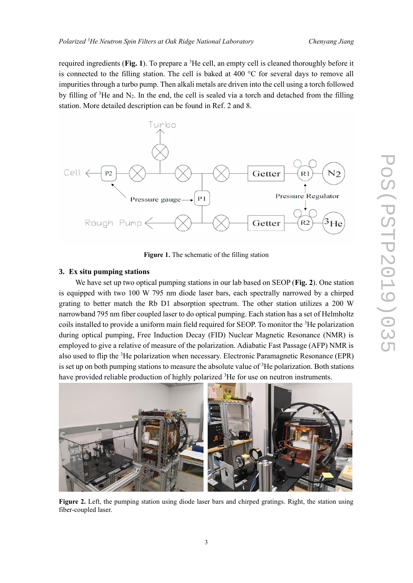required ingredients (**Fig. 1**). To prepare a <sup>3</sup>He cell, an empty cell is cleaned thoroughly before it is connected to the filling station. The cell is baked at  $400\degree C$  for several days to remove all impurities through a turbo pump. Then alkali metals are driven into the cell using a torch followed by filling of  ${}^{3}$ He and N<sub>2</sub>. In the end, the cell is sealed via a torch and detached from the filling station. More detailed description can be found in Ref. 2 and 8.



**Figure 1.** The schematic of the filling station

#### **3. Ex situ pumping stations**

We have set up two optical pumping stations in our lab based on SEOP (**Fig. 2**). One station is equipped with two 100 W 795 nm diode laser bars, each spectrally narrowed by a chirped grating to better match the Rb D1 absorption spectrum. The other station utilizes a 200 W narrowband 795 nm fiber coupled laser to do optical pumping. Each station has a set of Helmholtz coils installed to provide a uniform main field required for SEOP. To monitor the  ${}^{3}$ He polarization during optical pumping, Free Induction Decay (FID) Nuclear Magnetic Resonance (NMR) is employed to give a relative of measure of the polarization. Adiabatic Fast Passage (AFP) NMR is also used to flip the <sup>3</sup>He polarization when necessary. Electronic Paramagnetic Resonance (EPR) is set up on both pumping stations to measure the absolute value of  ${}^{3}$ He polarization. Both stations have provided reliable production of highly polarized <sup>3</sup>He for use on neutron instruments.



**Figure 2.** Left, the pumping station using diode laser bars and chirped gratings. Right, the station using fiber-coupled laser.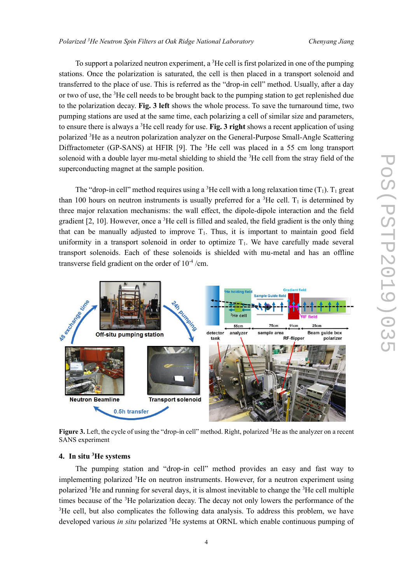To support a polarized neutron experiment, a  ${}^{3}$ He cell is first polarized in one of the pumping stations. Once the polarization is saturated, the cell is then placed in a transport solenoid and transferred to the place of use. This is referred as the "drop-in cell" method. Usually, after a day or two of use, the <sup>3</sup>He cell needs to be brought back to the pumping station to get replenished due to the polarization decay. **Fig. 3 left** shows the whole process. To save the turnaround time, two pumping stations are used at the same time, each polarizing a cell of similar size and parameters, to ensure there is always a <sup>3</sup>He cell ready for use. **Fig. 3 right** shows a recent application of using polarized <sup>3</sup>He as a neutron polarization analyzer on the General-Purpose Small-Angle Scattering Diffractometer (GP-SANS) at HFIR [9]. The  ${}^{3}$ He cell was placed in a 55 cm long transport solenoid with a double layer mu-metal shielding to shield the  ${}^{3}$ He cell from the stray field of the superconducting magnet at the sample position.

The "drop-in cell" method requires using a <sup>3</sup>He cell with a long relaxation time  $(T_1)$ . T<sub>1</sub> great than 100 hours on neutron instruments is usually preferred for a  ${}^{3}$ He cell. T<sub>1</sub> is determined by three major relaxation mechanisms: the wall effect, the dipole-dipole interaction and the field gradient  $[2, 10]$ . However, once a  ${}^{3}$ He cell is filled and sealed, the field gradient is the only thing that can be manually adjusted to improve  $T_1$ . Thus, it is important to maintain good field uniformity in a transport solenoid in order to optimize  $T_1$ . We have carefully made several transport solenoids. Each of these solenoids is shielded with mu-metal and has an offline transverse field gradient on the order of  $10^{-4}$ /cm.



**Figure 3.** Left, the cycle of using the "drop-in cell" method. Right, polarized <sup>3</sup>He as the analyzer on a recent SANS experiment

#### **4. In situ <sup>3</sup>He systems**

The pumping station and "drop-in cell" method provides an easy and fast way to implementing polarized <sup>3</sup>He on neutron instruments. However, for a neutron experiment using polarized <sup>3</sup>He and running for several days, it is almost inevitable to change the <sup>3</sup>He cell multiple times because of the <sup>3</sup>He polarization decay. The decay not only lowers the performance of the <sup>3</sup>He cell, but also complicates the following data analysis. To address this problem, we have developed various *in situ* polarized <sup>3</sup>He systems at ORNL which enable continuous pumping of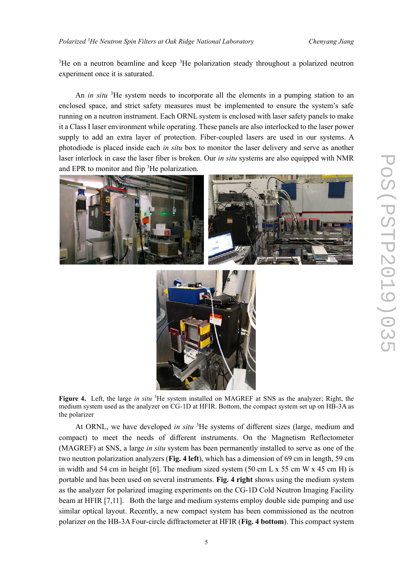$3$ He on a neutron beamline and keep  $3$ He polarization steady throughout a polarized neutron experiment once it is saturated.

An *in situ* <sup>3</sup>He system needs to incorporate all the elements in a pumping station to an enclosed space, and strict safety measures must be implemented to ensure the system's safe running on a neutron instrument. Each ORNL system is enclosed with laser safety panels to make it a Class I laser environment while operating. These panels are also interlocked to the laser power supply to add an extra layer of protection. Fiber-coupled lasers are used in our systems. A photodiode is placed inside each *in situ* box to monitor the laser delivery and serve as another laser interlock in case the laser fiber is broken. Our *in situ* systems are also equipped with NMR and EPR to monitor and flip <sup>3</sup>He polarization.





**Figure 4.** Left, the large *in situ* <sup>3</sup>He system installed on MAGREF at SNS as the analyzer; Right, the medium system used as the analyzer on CG-1D at HFIR. Bottom, the compact system set up on HB-3A as the polarizer

At ORNL, we have developed *in situ* <sup>3</sup>He systems of different sizes (large, medium and compact) to meet the needs of different instruments. On the Magnetism Reflectometer (MAGREF) at SNS, a large *in situ* system has been permanently installed to serve as one of the two neutron polarization analyzers (**Fig. 4 left**), which has a dimension of 69 cm in length, 59 cm in width and 54 cm in height [6]. The medium sized system  $(50 \text{ cm L x 55 cm W x 45 cm H})$  is portable and has been used on several instruments. **Fig. 4 right** shows using the medium system as the analyzer for polarized imaging experiments on the CG-1D Cold Neutron Imaging Facility beam at HFIR [7,11]. Both the large and medium systems employ double side pumping and use similar optical layout. Recently, a new compact system has been commissioned as the neutron polarizer on the HB-3A Four-circle diffractometer at HFIR (**Fig. 4 bottom**). This compact system